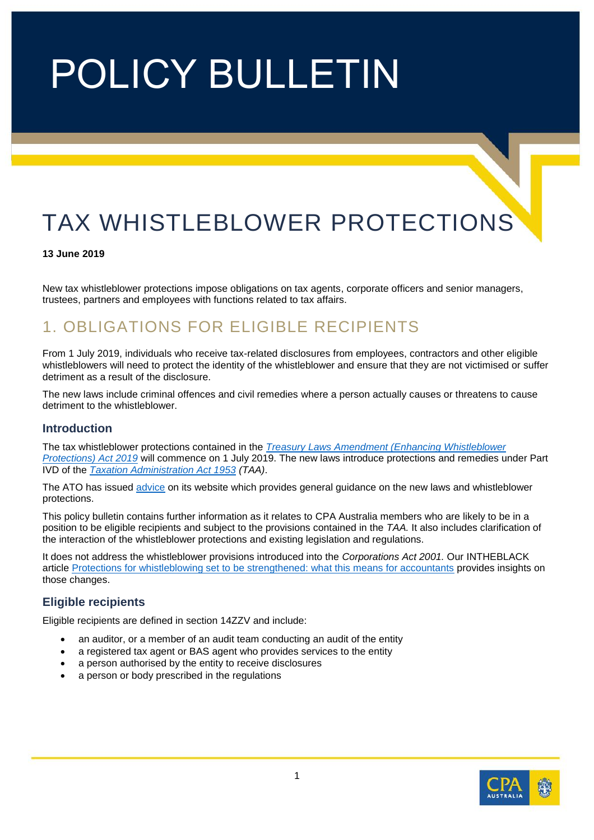# POLICY BULLETIN

# TAX WHISTLEBLOWER PROTECTIONS

#### **13 June 2019**

New tax whistleblower protections impose obligations on tax agents, corporate officers and senior managers, trustees, partners and employees with functions related to tax affairs.

### 1. OBLIGATIONS FOR ELIGIBLE RECIPIENTS

From 1 July 2019, individuals who receive tax-related disclosures from employees, contractors and other eligible whistleblowers will need to protect the identity of the whistleblower and ensure that they are not victimised or suffer detriment as a result of the disclosure.

The new laws include criminal offences and civil remedies where a person actually causes or threatens to cause detriment to the whistleblower.

#### **Introduction**

The tax whistleblower protections contained in the *[Treasury Laws Amendment \(Enhancing Whistleblower](https://www.legislation.gov.au/Details/C2019A00010)  [Protections\) Act 2019](https://www.legislation.gov.au/Details/C2019A00010)* will commence on 1 July 2019. The new laws introduce protections and remedies under Part IVD of the *[Taxation Administration Act 1953](http://classic.austlii.edu.au/au/legis/cth/consol_act/taa1953269/) (TAA)*.

The ATO has issued [advice](https://www.ato.gov.au/general/gen/whistleblowers/) on its website which provides general guidance on the new laws and whistleblower protections.

This policy bulletin contains further information as it relates to CPA Australia members who are likely to be in a position to be eligible recipients and subject to the provisions contained in the *TAA.* It also includes clarification of the interaction of the whistleblower protections and existing legislation and regulations.

It does not address the whistleblower provisions introduced into the *Corporations Act 2001.* Our INTHEBLACK article [Protections for whistleblowing set to be strengthened: what this means for accountants](https://www.intheblack.com/articles/2019/06/13/protections-whistleblowing-strengthened) provides insights on those changes.

#### **Eligible recipients**

Eligible recipients are defined in section 14ZZV and include:

- an auditor, or a member of an audit team conducting an audit of the entity
- a registered tax agent or BAS agent who provides services to the entity
- a person authorised by the entity to receive disclosures
- a person or body prescribed in the regulations

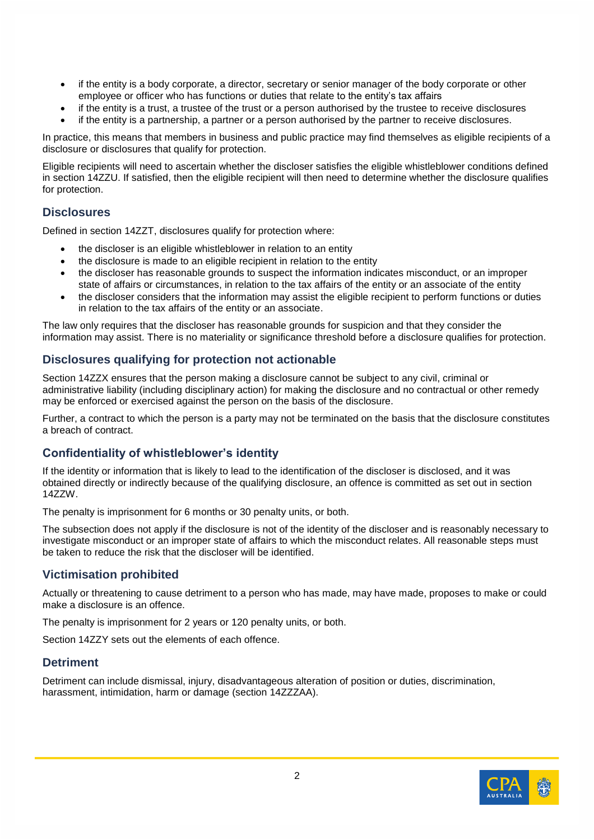- if the entity is a body corporate, a director, secretary or senior manager of the body corporate or other employee or officer who has functions or duties that relate to the entity's tax affairs
- if the entity is a trust, a trustee of the trust or a person authorised by the trustee to receive disclosures
- if the entity is a partnership, a partner or a person authorised by the partner to receive disclosures.

In practice, this means that members in business and public practice may find themselves as eligible recipients of a disclosure or disclosures that qualify for protection.

Eligible recipients will need to ascertain whether the discloser satisfies the eligible whistleblower conditions defined in section 14ZZU. If satisfied, then the eligible recipient will then need to determine whether the disclosure qualifies for protection.

#### **Disclosures**

Defined in section 14ZZT, disclosures qualify for protection where:

- the discloser is an eligible whistleblower in relation to an entity
- the disclosure is made to an eligible recipient in relation to the entity
- the discloser has reasonable grounds to suspect the information indicates misconduct, or an improper state of affairs or circumstances, in relation to the tax affairs of the entity or an associate of the entity
- the discloser considers that the information may assist the eligible recipient to perform functions or duties in relation to the tax affairs of the entity or an associate.

The law only requires that the discloser has reasonable grounds for suspicion and that they consider the information may assist. There is no materiality or significance threshold before a disclosure qualifies for protection.

#### **Disclosures qualifying for protection not actionable**

Section 14ZZX ensures that the person making a disclosure cannot be subject to any civil, criminal or administrative liability (including disciplinary action) for making the disclosure and no contractual or other remedy may be enforced or exercised against the person on the basis of the disclosure.

Further, a contract to which the person is a party may not be terminated on the basis that the disclosure constitutes a breach of contract.

#### **Confidentiality of whistleblower's identity**

If the identity or information that is likely to lead to the identification of the discloser is disclosed, and it was obtained directly or indirectly because of the qualifying disclosure, an offence is committed as set out in section 14ZZW.

The penalty is imprisonment for 6 months or 30 penalty units, or both.

The subsection does not apply if the disclosure is not of the identity of the discloser and is reasonably necessary to investigate misconduct or an improper state of affairs to which the misconduct relates. All reasonable steps must be taken to reduce the risk that the discloser will be identified.

#### **Victimisation prohibited**

Actually or threatening to cause detriment to a person who has made, may have made, proposes to make or could make a disclosure is an offence.

The penalty is imprisonment for 2 years or 120 penalty units, or both.

Section 14ZZY sets out the elements of each offence.

#### **Detriment**

Detriment can include dismissal, injury, disadvantageous alteration of position or duties, discrimination, harassment, intimidation, harm or damage (section 14ZZZAA).